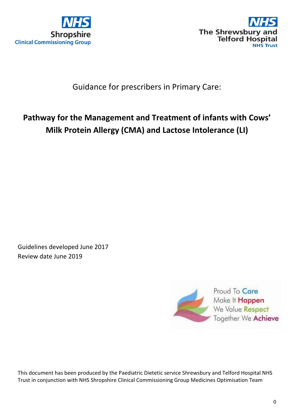



# Guidance for prescribers in Primary Care:

# **Pathway for the Management and Treatment of infants with Cows' Milk Protein Allergy (CMA) and Lactose Intolerance (LI)**

Guidelines developed June 2017 Review date June 2019



This document has been produced by the Paediatric Dietetic service Shrewsbury and Telford Hospital NHS Trust in conjunction with NHS Shropshire Clinical Commissioning Group Medicines Optimisation Team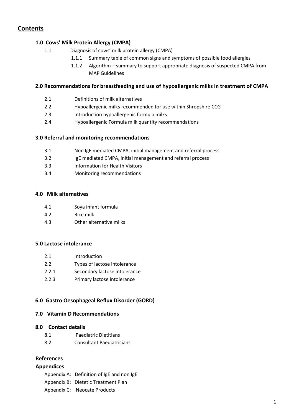# **Contents**

#### **1.0 Cows' Milk Protein Allergy (CMPA)**

- 1.1. Diagnosis of cows' milk protein allergy (CMPA)
	- 1.1.1 Summary table of common signs and symptoms of possible food allergies
		- 1.1.2 Algorithm summary to support appropriate diagnosis of suspected CMPA from MAP Guidelines

#### **2.0 Recommendations for breastfeeding and use of hypoallergenic milks in treatment of CMPA**

- 2.1 Definitions of milk alternatives
- 2.2 Hypoallergenic milks recommended for use within Shropshire CCG
- 2.3 Introduction hypoallergenic formula milks
- 2.4 Hypoallergenic Formula milk quantity recommendations

#### **3.0 Referral and monitoring recommendations**

- 3.1 Non IgE mediated CMPA, initial management and referral process
- 3.2 IgE mediated CMPA, initial management and referral process
- 3.3 Information for Health Visitors
- 3.4 Monitoring recommendations

#### **4.0 Milk alternatives**

- 4.1 Soya infant formula
- 4.2. Rice milk
- 4.3 Other alternative milks

#### **5.0 Lactose intolerance**

- 2.1 Introduction
- 2.2 Types of lactose intolerance
- 2.2.1 Secondary lactose intolerance
- 2.2.3 Primary lactose intolerance

#### **6.0 Gastro Oesophageal Reflux Disorder (GORD)**

#### **7.0 Vitamin D Recommendations**

#### **8.0 Contact details**

- 8.1 Paediatric Dietitians
- 8.2 Consultant Paediatricians

### **References**

#### **Appendices**

Appendix A: Definition of IgE and non IgE Appendix B: Dietetic Treatment Plan Appendix C: Neocate Products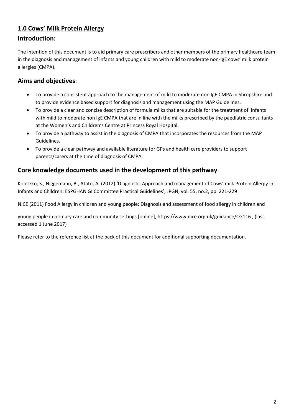# **1.0 Cows' Milk Protein Allergy**

# **Introduction:**

The intention of this document is to aid primary care prescribers and other members of the primary healthcare team in the diagnosis and management of infants and young children with mild to moderate non-IgE cows' milk protein allergies (CMPA).

# **Aims and objectives:**

- To provide a consistent approach to the management of mild to moderate non IgE CMPA in Shropshire and to provide evidence based support for diagnosis and management using the MAP Guidelines.
- To provide a clear and concise description of formula milks that are suitable for the treatment of infants with mild to moderate non IgE CMPA that are in line with the milks prescribed by the paediatric consultants at the Women's and Children's Centre at Princess Royal Hospital.
- To provide a pathway to assist in the diagnosis of CMPA that incorporates the resources from the MAP Guidelines.
- To provide a clear pathway and available literature for GPs and health care providers to support parents/carers at the time of diagnosis of CMPA.

# **Core knowledge documents used in the development of this pathway**:

Koletzko, S., Niggemann, B., Atato, A. (2012) 'Diagnostic Approach and management of Cows' milk Protein Allergy in Infants and Children: ESPGHAN GI Committee Practical Guidelines', JPGN, vol. 55, no.2, pp. 221-229

NICE (2011) Food Allergy in children and young people: Diagnosis and assessment of food allergy in children and

young people in primary care and community settings [online], https://www.nice.org.uk/guidance/CG116 , (last accessed 1 June 2017)

Please refer to the reference list at the back of this document for additional supporting documentation.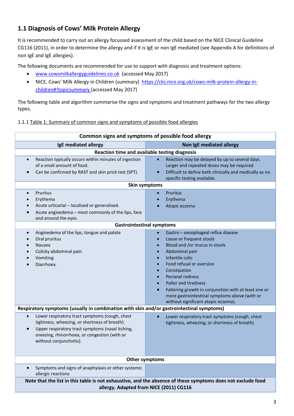# **1.1 Diagnosis of Cows' Milk Protein Allergy**

It is recommended to carry out an allergy focussed assessment of the child based on the NICE Clinical Guideline CG116 (2011), in order to determine the allergy and if it is IgE or non IgE mediated (see Appendix A for definitions of non IgE and IgE allergies).

The following documents are recommended for use to support with diagnosis and treatment options:

- [www.cowsmilkallergyguidelines.co.uk](http://www.cowsmilkallergyguidelines.co.uk/) (accessed May 2017)
- NICE, Cows' Milk Allergy in Children (summary) [https://cks.nice.org.uk/cows-milk-protein-allergy-in](https://cks.nice.org.uk/cows-milk-protein-allergy-in-children#!topicsummary)[children#!topicsummary](https://cks.nice.org.uk/cows-milk-protein-allergy-in-children#!topicsummary) (accessed May 2017)

The following table and algorithm summarise the signs and symptoms and treatment pathways for the two allergy types.

#### 1.1.1 Table 1: Summary of common signs and symptoms of possible food allergies

| Common signs and symptoms of possible food allergy                                                                                                                                                                                                         |                                                                                                                                                                                                                                                                                                                                                                                                                                                                                                     |  |
|------------------------------------------------------------------------------------------------------------------------------------------------------------------------------------------------------------------------------------------------------------|-----------------------------------------------------------------------------------------------------------------------------------------------------------------------------------------------------------------------------------------------------------------------------------------------------------------------------------------------------------------------------------------------------------------------------------------------------------------------------------------------------|--|
| IgE mediated allergy<br>Non IgE mediated allergy                                                                                                                                                                                                           |                                                                                                                                                                                                                                                                                                                                                                                                                                                                                                     |  |
| Reaction time and available testing diagnosis                                                                                                                                                                                                              |                                                                                                                                                                                                                                                                                                                                                                                                                                                                                                     |  |
| Reaction typically occurs within minutes of ingestion<br>$\bullet$<br>of a small amount of food.<br>Can be confirmed by RAST and skin prick test (SPT).                                                                                                    | Reaction may be delayed by up to several days.<br>Larger and repeated doses may be required<br>Difficult to define both clinically and medically as no<br>$\bullet$<br>specific testing available.                                                                                                                                                                                                                                                                                                  |  |
| <b>Skin symptoms</b>                                                                                                                                                                                                                                       |                                                                                                                                                                                                                                                                                                                                                                                                                                                                                                     |  |
| Pruritus<br>$\bullet$<br>Erythema<br>Acute urticarial - localised or generalised.<br>Acute angioedema - most commonly of the lips, face<br>and around the eyes.                                                                                            | <b>Pruritus</b><br>$\bullet$<br>Erythema<br>$\bullet$<br>Atopic eczema                                                                                                                                                                                                                                                                                                                                                                                                                              |  |
| <b>Gastrointestinal symptoms</b>                                                                                                                                                                                                                           |                                                                                                                                                                                                                                                                                                                                                                                                                                                                                                     |  |
| Angioedema of the lips, tongue and palate<br>$\bullet$<br>Oral pruritus<br>Nausea<br>Colicky abdominal pain<br>Vomiting<br>Diarrhoea.                                                                                                                      | Gastro - oesophageal reflux disease<br>$\bullet$<br>Loose or frequent stools<br>$\bullet$<br>Blood and /or mucus in stools<br>$\bullet$<br>Abdominal pain<br>$\bullet$<br>Infantile colic<br>$\bullet$<br>Food refusal or aversion<br>$\bullet$<br>Constipation<br>$\bullet$<br><b>Perianal redness</b><br>$\bullet$<br><b>Pallor and tiredness</b><br>Faltering growth in conjunction with at least one or<br>more gastrointestinal symptoms above (with or<br>without significant atopic eczema). |  |
| Respiratory symptoms (usually in combination with skin and/or gastrointestinal symptoms)                                                                                                                                                                   |                                                                                                                                                                                                                                                                                                                                                                                                                                                                                                     |  |
| Lower respiratory tract symptoms (cough, chest<br>$\bullet$<br>tightness, wheezing, or shortness of breath).<br>Upper respiratory tract symptoms (nasal itching,<br>$\bullet$<br>sneezing, rhinorrhoea, or congestion (with or<br>without conjunctivitis). | Lower respiratory tract symptoms (cough, chest<br>$\bullet$<br>tightness, wheezing, or shortness of breath)                                                                                                                                                                                                                                                                                                                                                                                         |  |
| Other symptoms                                                                                                                                                                                                                                             |                                                                                                                                                                                                                                                                                                                                                                                                                                                                                                     |  |
| Symptoms and signs of anaphylaxis or other systemic<br>allergic reactions<br>Note that the list in this table is not exhaustive, and the absence of these symptoms does not exclude food                                                                   |                                                                                                                                                                                                                                                                                                                                                                                                                                                                                                     |  |
| allergy. Adapted from NICE (2011) CG116                                                                                                                                                                                                                    |                                                                                                                                                                                                                                                                                                                                                                                                                                                                                                     |  |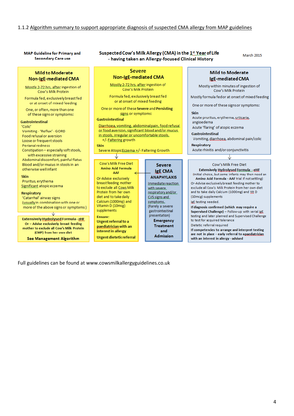# 1.1.2 Algorithm summary to support appropriate diagnosis of suspected CMA allergy from MAP guidelines

#### **MAP Guideline for Primary and Secondary Care use**

#### Suspected Cow's Milk Allergy (CMA) in the 1st Year of Life - having taken an Allergy-focused Clinical History

March 2015

| <b>Mild to Moderate</b><br>Non-IgE-mediated CMA                                                                                                       | <b>Severe</b><br><b>Non-IgE-mediated CMA</b>                                                                                                                               |                                                                                          | <b>Mild to Moderate</b><br>IgE-mediated CMA                                                                                                                                                                                  |
|-------------------------------------------------------------------------------------------------------------------------------------------------------|----------------------------------------------------------------------------------------------------------------------------------------------------------------------------|------------------------------------------------------------------------------------------|------------------------------------------------------------------------------------------------------------------------------------------------------------------------------------------------------------------------------|
| Mostly 2-72 hrs. after ingestion of<br>Cow's Milk Protein                                                                                             | Mostly 2-72 hrs. after ingestion of<br>Cow's Milk Protein                                                                                                                  |                                                                                          | Mostly within minutes of ingestion of<br>Cow's Milk Protein                                                                                                                                                                  |
| Formula fed, exclusively breast fed<br>or at onset of mixed feeding                                                                                   | Formula fed, exclusively breast fed<br>or at onset of mixed feeding                                                                                                        |                                                                                          | Mostly formula fed or at onset of mixed feeding<br>One or more of these signs or symptoms:                                                                                                                                   |
| One, or often, more than one<br>of these signs or symptoms:                                                                                           | One or more of these Severe and Persisting<br>signs or symptoms:                                                                                                           |                                                                                          | <b>Skin</b><br>Acute pruritus, erythema, urticaria,                                                                                                                                                                          |
| <b>Gastrointestinal</b><br>'Colic'<br>Vomiting - 'Reflux' - GORD<br>Food refusal or aversion                                                          | Gastrointestinal<br>Diarrhoea, vomiting, abdominal pain, food refusal<br>or food aversion, significant blood and/or mucus<br>in stools, irregular or uncomfortable stools. |                                                                                          | angioedema<br>Acute 'flaring' of atopic eczema<br>Gastrointestinal<br>Vomiting, diarrhoea, abdominal pain/colic                                                                                                              |
| Loose or frequent stools<br>Perianal redness<br>Constipation - especially soft stools,<br>with excessive straining                                    | +/-Faltering growth<br><b>Skin</b><br>Severe Atopic Eczema +/- Faltering Growth                                                                                            |                                                                                          | Respiratory<br>Acute rhinitis and/or conjunctivitis                                                                                                                                                                          |
| Abdominal discomfort, painful flatus<br>Blood and/or mucus in stools in an<br>otherwise well infant                                                   | Cow's Milk Free Diet<br><b>Amino Acid Formula</b><br>AAF                                                                                                                   | <b>Severe</b><br><b>IgE CMA</b>                                                          | Cow's Milk Free Diet<br>Extensively Hydrolysed Formula -- eHF                                                                                                                                                                |
| <b>Skin</b><br>Pruritus, erythema<br>Significant atopic eczema                                                                                        | Or-Advise exclusively<br>breast feeding mother<br>to exclude all Cows Milk                                                                                                 | <b>ANAPHYLAXIS</b><br>Immediate reaction<br>with severe.                                 | (Initial choice, but some infants may then need an<br>Amino Acid Formula - AAF trial if not settling)<br>Or-Advise exclusively breast feeding mother to<br>exclude all Cow's Milk Protein from her own diet                  |
| Respiratory<br>'Catarrhal' airway signs<br>(usually in combination with one or<br>more of the above signs or symptoms)                                | Protein from her own<br>diet and to take daily<br>Calcium (1000mg) and<br>Vitamin D (10mcg)<br>supplements                                                                 | respiratory and/or<br>CVS signs and<br>symptoms.<br>(Rarely a severe<br>gastrointestinal | and to take daily Calcium (1000mg) and Vit D<br>(10mcg) supplements<br>JgE testing needed.<br>If diagnosis confirmed (which may require a                                                                                    |
| Extensively Hydrolysed Formula - eHF<br>Or - Advise exclusively breast feeding<br>mother to exclude all Cow's Milk Protein<br>(CMP) from her own diet | Ensure:<br>Urgent referral to a<br>paediatrician with an<br>interest in allergy                                                                                            | presentation)<br><b>Emergency</b><br><b>Treatment</b><br>and                             | Supervised Challenge) - Follow-up with serial JgE.<br>testing and later planned and Supervised Challenge<br>to test for acquired tolerance<br>Dietetic referral required<br>If competencies to arrange and interpret testing |
| <b>See Management Algorithm</b>                                                                                                                       | Urgent dietetic referral                                                                                                                                                   | <b>Admission</b>                                                                         | are not in place - early referral to apaediatrician<br>with an interest in allergy - advised                                                                                                                                 |

Full guidelines can be found at www.cowsmilkallergyguidelines.co.uk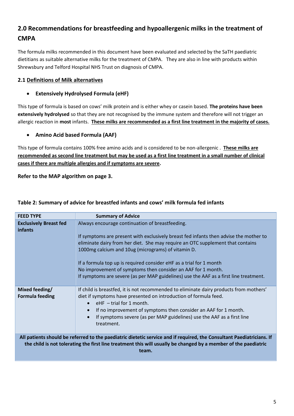# **2.0 Recommendations for breastfeeding and hypoallergenic milks in the treatment of CMPA**

The formula milks recommended in this document have been evaluated and selected by the SaTH paediatric dietitians as suitable alternative milks for the treatment of CMPA. They are also in line with products within Shrewsbury and Telford Hospital NHS Trust on diagnosis of CMPA.

# **2.1 Definitions of Milk alternatives**

## **Extensively Hydrolysed Formula (eHF)**

This type of formula is based on cows' milk protein and is either whey or casein based. **The proteins have been extensively hydrolysed** so that they are not recognised by the immune system and therefore will not trigger an allergic reaction in **most** infants. **These milks are recommended as a first line treatment in the majority of cases.**

# **Amino Acid based Formula (AAF)**

This type of formula contains 100% free amino acids and is considered to be non-allergenic . **These milks are recommended as second line treatment but may be used as a first line treatment in a small number of clinical cases if there are multiple allergies and if symptoms are severe.** 

**Refer to the MAP algorithm on page 3.**

| <b>FEED TYPE</b>                                | <b>Summary of Advice</b>                                                                                                                                                                                                                 |
|-------------------------------------------------|------------------------------------------------------------------------------------------------------------------------------------------------------------------------------------------------------------------------------------------|
| <b>Exclusively Breast fed</b><br><b>infants</b> | Always encourage continuation of breastfeeding.                                                                                                                                                                                          |
|                                                 | If symptoms are present with exclusively breast fed infants then advise the mother to                                                                                                                                                    |
|                                                 | eliminate dairy from her diet. She may require an OTC supplement that contains<br>1000mg calcium and 10ug (micrograms) of vitamin D.                                                                                                     |
|                                                 |                                                                                                                                                                                                                                          |
|                                                 | If a formula top up is required consider eHF as a trial for 1 month                                                                                                                                                                      |
|                                                 | No improvement of symptoms then consider an AAF for 1 month.<br>If symptoms are severe (as per MAP guidelines) use the AAF as a first line treatment.                                                                                    |
|                                                 |                                                                                                                                                                                                                                          |
| Mixed feeding/<br><b>Formula feeding</b>        | If child is breastfed, it is not recommended to eliminate dairy products from mothers'<br>diet if symptoms have presented on introduction of formula feed.<br>$\bullet$ eHF - trial for 1 month.                                         |
|                                                 | If no improvement of symptoms then consider an AAF for 1 month.                                                                                                                                                                          |
|                                                 | If symptoms severe (as per MAP guidelines) use the AAF as a first line<br>treatment.                                                                                                                                                     |
|                                                 | All patients should be referred to the paediatric dietetic service and if required, the Consultant Paediatricians. If<br>the child is not tolerating the first line treatment this will usually be changed by a member of the paediatric |
|                                                 | team.                                                                                                                                                                                                                                    |

## **Table 2: Summary of advice for breastfed infants and cows' milk formula fed infants**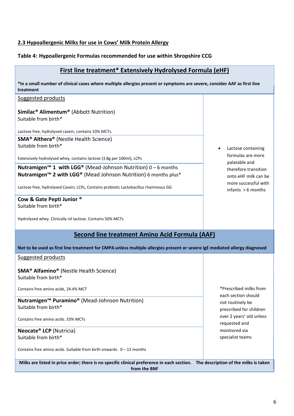# **2.3 Hypoallergenic Milks for use in Cows' Milk Protein Allergy**

# **Table 4: Hypoallergenic Formulas recommended for use within Shropshire CCG**

| <b>First line treatment* Extensively Hydrolysed Formula (eHF)</b>                                                                                |                                               |  |
|--------------------------------------------------------------------------------------------------------------------------------------------------|-----------------------------------------------|--|
| *In a small number of clinical cases where multiple allergies present or symptoms are severe, consider AAF as first line<br>treatment            |                                               |  |
| <b>Suggested products</b>                                                                                                                        |                                               |  |
| <b>Similac<sup>®</sup> Alimentum<sup>®</sup> (Abbott Nutrition)</b><br>Suitable from birth*                                                      |                                               |  |
| Lactose free, hydrolysed casein, contains 33% MCTs.                                                                                              |                                               |  |
| <b>SMA<sup>®</sup> Althera<sup>®</sup></b> (Nestle Health Science)                                                                               |                                               |  |
| Suitable from birth*                                                                                                                             | Lactose containing                            |  |
| Extensively hydrolysed whey, contains lactose (3.8g per 100ml), LCPs                                                                             | formulas are more<br>palatable and            |  |
| <b>Nutramigen<sup>™</sup> 1 with LGG<sup>®</sup></b> (Mead-Johnson Nutrition) $0 - 6$ months                                                     | therefore transition                          |  |
| Nutramigen <sup>™</sup> 2 with LGG <sup>®</sup> (Mead Johnson Nutrition) 6 months plus*                                                          | onto eHF milk can be                          |  |
| Lactose free, hydrolysed Casein, LCPs, Contains probiotic Lactobacillus rhamnosus GG                                                             | more successful with<br>$infants > 6$ months  |  |
| Cow & Gate Pepti Junior ®                                                                                                                        |                                               |  |
| Suitable from birth*                                                                                                                             |                                               |  |
| Hydrolysed whey. Clinically nil lactose. Contains 50% MCTs                                                                                       |                                               |  |
| <b>Second line treatment Amino Acid Formula (AAF)</b>                                                                                            |                                               |  |
| Not to be used as first line treatment for CMPA unless multiple allergies present or severe IgE mediated allergy diagnosed                       |                                               |  |
| Suggested products                                                                                                                               |                                               |  |
| <b>SMA<sup>®</sup> Alfamino<sup>®</sup> (Nestle Health Science)</b><br>Suitable from birth*                                                      |                                               |  |
| Contains free amino acids, 24.4% MCT                                                                                                             | *Prescribed milks from<br>each section should |  |
| Nutramigen <sup>™</sup> Puramino <sup>®</sup> (Mead-Johnson Nutrition)<br>Suitable from birth*                                                   | not routinely be<br>prescribed for children   |  |
| Contains free amino acids, 33% MCTs                                                                                                              | over 2 years' old unless<br>requested and     |  |
| Neocate <sup>®</sup> LCP (Nutricia)                                                                                                              | monitored via                                 |  |
| Suitable from birth*                                                                                                                             | specialist teams                              |  |
| Contains free amino acids. Suitable from birth onwards. $0 - 12$ months                                                                          |                                               |  |
| Milks are listed in price order; there is no specific clinical preference in each section. The description of the milks is taken<br>from the BNF |                                               |  |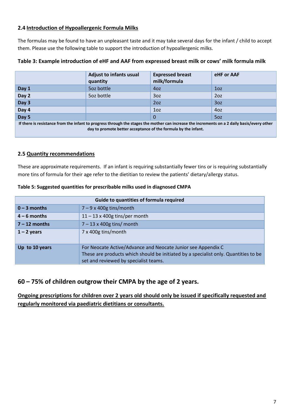# **2.4 Introduction of Hypoallergenic Formula Milks**

The formulas may be found to have an unpleasant taste and it may take several days for the infant / child to accept them. Please use the following table to support the introduction of hypoallergenic milks.

|                                                                                                                                                                                                               | <b>Adjust to infants usual</b><br>quantity | <b>Expressed breast</b><br>milk/formula | eHF or AAF      |
|---------------------------------------------------------------------------------------------------------------------------------------------------------------------------------------------------------------|--------------------------------------------|-----------------------------------------|-----------------|
| Day 1                                                                                                                                                                                                         | 5oz bottle                                 | 40z                                     | 1 <sub>oz</sub> |
| Day 2                                                                                                                                                                                                         | 5oz bottle                                 | 3oz                                     | 20z             |
| Day 3                                                                                                                                                                                                         |                                            | 2oz                                     | 3oz             |
| Day 4                                                                                                                                                                                                         |                                            | 1 <sub>oz</sub>                         | 4oz             |
| Day 5                                                                                                                                                                                                         |                                            | 0                                       | 5oz             |
| If there is resistance from the infant to progress through the stages the mother can increase the increments on a 2 daily basis/every other<br>day to promote better acceptance of the formula by the infant. |                                            |                                         |                 |

#### **Table 3: Example introduction of eHF and AAF from expressed breast milk or cows' milk formula milk**

## **2.5 Quantity recommendations**

These are approximate requirements. If an infant is requiring substantially fewer tins or is requiring substantially more tins of formula for their age refer to the dietitian to review the patients' dietary/allergy status.

| Table 5: Suggested quantities for prescribable milks used in diagnosed CMPA |  |  |
|-----------------------------------------------------------------------------|--|--|
|-----------------------------------------------------------------------------|--|--|

| Guide to quantities of formula required |                                                                                                                                                                                              |  |
|-----------------------------------------|----------------------------------------------------------------------------------------------------------------------------------------------------------------------------------------------|--|
| $0 - 3$ months                          | $7 - 9 \times 400$ g tins/month                                                                                                                                                              |  |
| $4 - 6$ months                          | $11 - 13 \times 400$ g tins/per month                                                                                                                                                        |  |
| $7 - 12$ months                         | $7 - 13 \times 400$ g tins/ month                                                                                                                                                            |  |
| $1 - 2$ years                           | 7 x 400g tins/month                                                                                                                                                                          |  |
| Up to 10 years                          | For Neocate Active/Advance and Neocate Junior see Appendix C<br>These are products which should be initiated by a specialist only. Quantities to be<br>set and reviewed by specialist teams. |  |

# **60 – 75% of children outgrow their CMPA by the age of 2 years.**

**Ongoing prescriptions for children over 2 years old should only be issued if specifically requested and regularly monitored via paediatric dietitians or consultants.**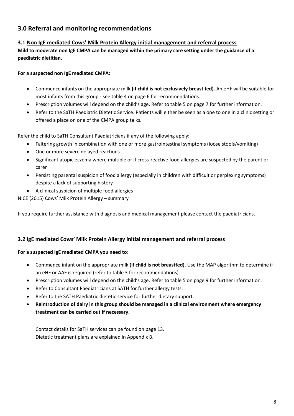# **3.0 Referral and monitoring recommendations**

# **3.1 Non IgE mediated Cows' Milk Protein Allergy initial management and referral process**

**Mild to moderate non IgE CMPA can be managed within the primary care setting under the guidance of a paediatric dietitian.** 

# **For a suspected non IgE mediated CMPA:**

- Commence infants on the appropriate milk **(if child is not exclusively breast fed).** An eHF will be suitable for most infants from this group - see table 4 on page 6 for recommendations.
- Prescription volumes will depend on the child's age. Refer to table 5 on page 7 for further information.
- Refer to the SaTH Paediatric Dietetic Service. Patients will either be seen as a one to one in a clinic setting or offered a place on one of the CMPA group talks.

Refer the child to SaTH Consultant Paediatricians if any of the following apply:

- Faltering growth in combination with one or more gastrointestinal symptoms (loose stools/vomiting)
- One or more severe delayed reactions
- Significant atopic eczema where multiple or if cross-reactive food allergies are suspected by the parent or carer
- Persisting parental suspicion of food allergy (especially in children with difficult or perplexing symptoms) despite a lack of supporting history
- A clinical suspicion of multiple food allergies

NICE (2015) Cows' Milk Protein Allergy – summary

If you require further assistance with diagnosis and medical management please contact the paediatricians.

## **3.2 IgE mediated Cows' Milk Protein Allergy initial management and referral process**

#### **For a suspected IgE mediated CMPA you need to**:

- Commence infant on the appropriate milk **(if child is not breastfed)**. Use the MAP algorithm to determine if an eHF or AAF is required (refer to table 3 for recommendations).
- Prescription volumes will depend on the child's age. Refer to table 5 on page 9 for further information.
- Refer to Consultant Paediatricians at SATH for further allergy tests.
- Refer to the SATH Paediatric dietetic service for further dietary support.
- **Reintroduction of dairy in this group should be managed in a clinical environment where emergency treatment can be carried out if necessary.**

Contact details for SaTH services can be found on page 13. Dietetic treatment plans are explained in Appendix B.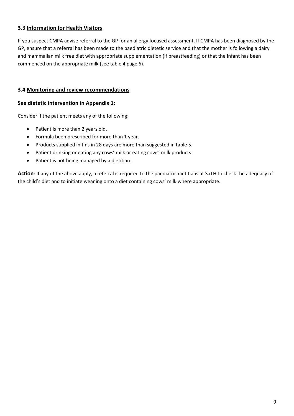# **3.3 Information for Health Visitors**

If you suspect CMPA advise referral to the GP for an allergy focused assessment. If CMPA has been diagnosed by the GP, ensure that a referral has been made to the paediatric dietetic service and that the mother is following a dairy and mammalian milk free diet with appropriate supplementation (if breastfeeding) or that the infant has been commenced on the appropriate milk (see table 4 page 6).

### **3.4 Monitoring and review recommendations**

#### **See dietetic intervention in Appendix 1:**

Consider if the patient meets any of the following:

- Patient is more than 2 years old.
- Formula been prescribed for more than 1 year.
- Products supplied in tins in 28 days are more than suggested in table 5.
- Patient drinking or eating any cows' milk or eating cows' milk products.
- Patient is not being managed by a dietitian.

**Action**: If any of the above apply, a referral is required to the paediatric dietitians at SaTH to check the adequacy of the child's diet and to initiate weaning onto a diet containing cows' milk where appropriate.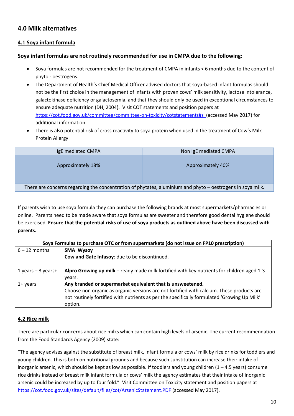# **4.0 Milk alternatives**

# **4.1 Soya infant formula**

#### **Soya infant formulas are not routinely recommended for use in CMPA due to the following:**

- Soya formulas are not recommended for the treatment of CMPA in infants < 6 months due to the content of phyto - oestrogens.
- The Department of Health's Chief Medical Officer advised doctors that soya-based infant formulas should not be the first choice in the management of infants with proven cows' milk sensitivity, lactose intolerance, galactokinase deficiency or galactosemia, and that they should only be used in exceptional circumstances to ensure adequate nutrition (DH, 2004). Visit COT statements and position papers at <https://cot.food.gov.uk/committee/committee-on-toxicity/cotstatements#s>(accessed May 2017) for additional information.
- There is also potential risk of cross reactivity to soya protein when used in the treatment of Cow's Milk Protein Allergy:

| IgE mediated CMPA                                                                                          | Non IgE mediated CMPA |  |
|------------------------------------------------------------------------------------------------------------|-----------------------|--|
| Approximately 18%                                                                                          | Approximately 40%     |  |
| There are concerns regarding the concentration of phytates, aluminium and phyto - oestrogens in soya milk. |                       |  |

If parents wish to use soya formula they can purchase the following brands at most supermarkets/pharmacies or online. Parents need to be made aware that soya formulas are sweeter and therefore good dental hygiene should be exercised. **Ensure that the potential risks of use of soya products as outlined above have been discussed with parents.**

| Soya Formulas to purchase OTC or from supermarkets (do not issue on FP10 prescription) |                                                                                             |  |
|----------------------------------------------------------------------------------------|---------------------------------------------------------------------------------------------|--|
| $6 - 12$ months                                                                        | <b>SMA Wysoy</b>                                                                            |  |
|                                                                                        | Cow and Gate Infasoy: due to be discontinued.                                               |  |
| 1 years $-$ 3 years+                                                                   | Alpro Growing up milk – ready made milk fortified with key nutrients for children aged 1-3  |  |
|                                                                                        | years.                                                                                      |  |
| $1+$ years                                                                             | Any branded or supermarket equivalent that is unsweetened.                                  |  |
|                                                                                        | Choose non organic as organic versions are not fortified with calcium. These products are   |  |
|                                                                                        | not routinely fortified with nutrients as per the specifically formulated 'Growing Up Milk' |  |
|                                                                                        | option.                                                                                     |  |

#### **4.2 Rice milk**

There are particular concerns about rice milks which can contain high levels of arsenic. The current recommendation from the Food Standards Agency (2009) state:

"The agency advises against the substitute of breast milk, infant formula or cows' milk by rice drinks for toddlers and young children. This is both on nutritional grounds and because such substitution can increase their intake of inorganic arsenic, which should be kept as low as possible. If toddlers and young children  $(1 - 4.5 \text{ years})$  consume rice drinks instead of breast milk infant formula or cows' milk the agency estimates that their intake of inorganic arsenic could be increased by up to four fold." Visit Committee on Toxicity statement and position papers at <https://cot.food.gov.uk/sites/default/files/cot/ArsenicStatement.PDF> (accessed May 2017).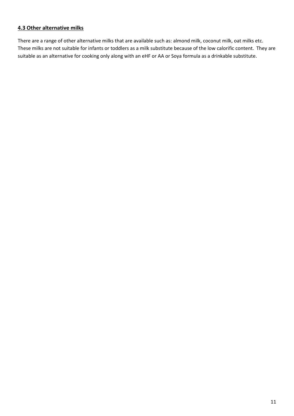# **4.3 Other alternative milks**

There are a range of other alternative milks that are available such as: almond milk, coconut milk, oat milks etc. These milks are not suitable for infants or toddlers as a milk substitute because of the low calorific content. They are suitable as an alternative for cooking only along with an eHF or AA or Soya formula as a drinkable substitute.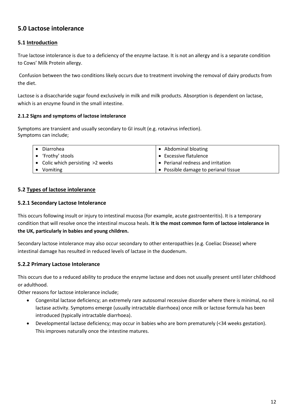# **5.0 Lactose intolerance**

# **5.1 Introduction**

True lactose intolerance is due to a deficiency of the enzyme lactase. It is not an allergy and is a separate condition to Cows' Milk Protein allergy.

Confusion between the two conditions likely occurs due to treatment involving the removal of dairy products from the diet.

Lactose is a disaccharide sugar found exclusively in milk and milk products. Absorption is dependent on lactase, which is an enzyme found in the small intestine.

#### **2.1.2 Signs and symptoms of lactose intolerance**

Symptoms are transient and usually secondary to GI insult (e.g. rotavirus infection). Symptoms can include;

| Diarrohea                         | • Abdominal bloating                 |
|-----------------------------------|--------------------------------------|
| • 'Frothy' stools                 | • Excessive flatulence               |
| • Colic which persisting >2 weeks | • Perianal redness and irritation    |
| Vomiting                          | • Possible damage to perianal tissue |

## **5.2 Types of lactose intolerance**

#### **5.2.1 Secondary Lactose Intolerance**

This occurs following insult or injury to intestinal mucosa (for example, acute gastroenteritis). It is a temporary condition that will resolve once the intestinal mucosa heals. **It is the most common form of lactose intolerance in the UK, particularly in babies and young children.**

Secondary lactose intolerance may also occur secondary to other enteropathies (e.g. Coeliac Disease) where intestinal damage has resulted in reduced levels of lactase in the duodenum.

## **5.2.2 Primary Lactose Intolerance**

This occurs due to a reduced ability to produce the enzyme lactase and does not usually present until later childhood or adulthood.

Other reasons for lactose intolerance include;

- Congenital lactase deficiency; an extremely rare autosomal recessive disorder where there is minimal, no nil lactase activity. Symptoms emerge (usually intractable diarrhoea) once milk or lactose formula has been introduced (typically intractable diarrhoea).
- Developmental lactase deficiency; may occur in babies who are born prematurely (<34 weeks gestation). This improves naturally once the intestine matures.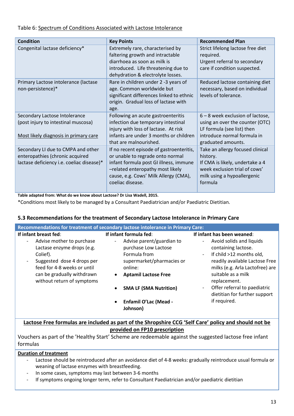## Table 6: Spectrum of Conditions Associated with Lactose Intolerance

| <b>Condition</b>                                                                                                   | <b>Key Points</b>                                                                                                                                                                                                       | <b>Recommended Plan</b>                                                                                                                                    |
|--------------------------------------------------------------------------------------------------------------------|-------------------------------------------------------------------------------------------------------------------------------------------------------------------------------------------------------------------------|------------------------------------------------------------------------------------------------------------------------------------------------------------|
| Congenital lactase deficiency*                                                                                     | Extremely rare, characterised by<br>faltering growth and intractable<br>diarrhoea as soon as milk is<br>introduced. Life threatening due to<br>dehydration & electrolyte losses.                                        | Strict lifelong lactose free diet<br>required.<br>Urgent referral to secondary<br>care if condition suspected.                                             |
| Primary Lactose intolerance (lactase<br>non-persistence)*                                                          | Rare in children under 2 -3 years of<br>age. Common worldwide but<br>significant differences linked to ethnic<br>origin. Gradual loss of lactase with<br>age.                                                           | Reduced lactose containing diet<br>necessary, based on individual<br>levels of tolerance.                                                                  |
| Secondary Lactose Intolerance<br>(post injury to intestinal muscosa)<br>Most likely diagnosis in primary care      | Following an acute gastroenteritis<br>infection due temporary intestinal<br>injury with loss of lactase. At risk<br>infants are under 3 months or children<br>that are malnourished.                                    | 6 - 8 week exclusion of lactose,<br>using an over the counter (OTC)<br>LF formula (see list) then<br>introduce normal formula in<br>graduated amounts.     |
| Secondary LI due to CMPA and other<br>enteropathies (chronic acquired<br>lactase deficiency i.e. coeliac disease)* | If no recent episode of gastroenteritis,<br>or unable to regrade onto normal<br>infant formula post GI illness, immune<br>-related enteropathy most likely<br>cause, e.g. Cows' Milk Allergy (CMA),<br>coeliac disease. | Take an allergy focused clinical<br>history.<br>If CMA is likely, undertake a 4<br>week exclusion trial of cows'<br>milk using a hypoallergenic<br>formula |

**Table adapted from: What do we know about Lactose? Dr Lisa Wadell, 2015.**

\*Conditions most likely to be managed by a Consultant Paediatrician and/or Paediatric Dietitian.

## **5.3 Recommendations for the treatment of Secondary Lactose Intolerance in Primary Care**

| Recommendations for treatment of secondary lactose intolerance in Primary Care:                                               |                                                                                                         |                                                                                                                                 |
|-------------------------------------------------------------------------------------------------------------------------------|---------------------------------------------------------------------------------------------------------|---------------------------------------------------------------------------------------------------------------------------------|
| If infant breast fed:                                                                                                         | If infant formula fed:                                                                                  | If infant has been weaned:                                                                                                      |
| Advise mother to purchase<br>$\overline{\phantom{a}}$<br>Lactase enzyme drops (e.g.<br>Colief).<br>Suggested dose 4 drops per | Advise parent/guardian to<br>$ \,$<br>purchase Low Lactose<br>Formula from<br>supermarket/pharmacies or | Avoid solids and liquids<br>$\blacksquare$<br>containing lactose.<br>If child >12 months old,<br>readily available Lactose Free |
| feed for 4-8 weeks or until<br>can be gradually withdrawn<br>without return of symptoms                                       | online:<br><b>Aptamil Lactose Free</b>                                                                  | milks (e.g. Arla Lactofree) are<br>suitable as a milk<br>replacement.                                                           |
|                                                                                                                               | <b>SMA LF (SMA Nutrition)</b>                                                                           | Offer referral to paediatric<br>$\sim$<br>dietitian for further support                                                         |
|                                                                                                                               | <b>Enfamil O'Lac (Mead -</b><br>Johnson)                                                                | if required.                                                                                                                    |

# **Lactose Free formulas are included as part of the Shropshire CCG 'Self Care' policy and should not be provided on FP10 prescription**

Vouchers as part of the 'Healthy Start' Scheme are redeemable against the suggested lactose free infant formulas

## **Duration of treatment**

- Lactose should be reintroduced after an avoidance diet of 4-8 weeks: gradually reintroduce usual formula or weaning of lactase enzymes with breastfeeding.
- In some cases, symptoms may last between 3-6 months
- If symptoms ongoing longer term, refer to Consultant Paediatrician and/or paediatric dietitian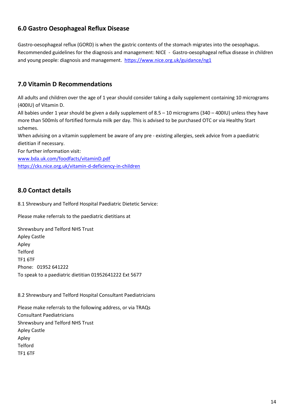# **6.0 Gastro Oesophageal Reflux Disease**

Gastro-oesophageal reflux (GORD) is when the gastric contents of the stomach migrates into the oesophagus. Recommended guidelines for the diagnosis and management: NICE - Gastro-oesophageal reflux disease in children and young people: diagnosis and management. <https://www.nice.org.uk/guidance/ng1>

# **7.0 Vitamin D Recommendations**

All adults and children over the age of 1 year should consider taking a daily supplement containing 10 micrograms (400IU) of Vitamin D.

All babies under 1 year should be given a daily supplement of 8.5 – 10 micrograms (340 – 400IU) unless they have more than 500mls of fortified formula milk per day. This is advised to be purchased OTC or via Healthy Start schemes.

When advising on a vitamin supplement be aware of any pre - existing allergies, seek advice from a paediatric dietitian if necessary.

For further information visit:

[www.bda.uk.com/foodfacts/vitaminD.pdf](http://www.bda.uk.com/foodfacts/vitaminD.pdf)

<https://cks.nice.org.uk/vitamin-d-deficiency-in-children>

# **8.0 Contact details**

8.1 Shrewsbury and Telford Hospital Paediatric Dietetic Service:

Please make referrals to the paediatric dietitians at

Shrewsbury and Telford NHS Trust Apley Castle Apley Telford TF1 6TF Phone: 01952 641222 To speak to a paediatric dietitian 01952641222 Ext 5677

8.2 Shrewsbury and Telford Hospital Consultant Paediatricians

Please make referrals to the following address, or via TRAQs Consultant Paediatricians Shrewsbury and Telford NHS Trust Apley Castle Apley Telford TF1 6TF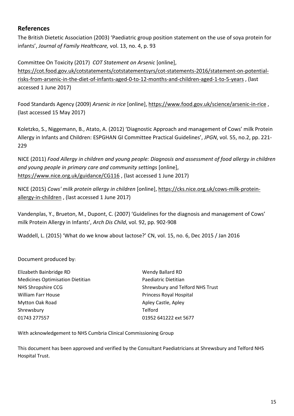# **References**

The British Dietetic Association (2003) 'Paediatric group position statement on the use of soya protein for infants', *Journal of Family Healthcare,* vol. 13, no. 4, p. 93

Committee On Toxicity (2017) *COT Statement on Arsenic* [online], [https://cot.food.gov.uk/cotstatements/cotstatementsyrs/cot-statements-2016/statement-on-potential](https://cot.food.gov.uk/cotstatements/cotstatementsyrs/cot-statements-2016/statement-on-potential-risks-from-arsenic-in-the-diet-of-infants-aged-0-to-12-months-and-children-aged-1-to-5-years)[risks-from-arsenic-in-the-diet-of-infants-aged-0-to-12-months-and-children-aged-1-to-5-years](https://cot.food.gov.uk/cotstatements/cotstatementsyrs/cot-statements-2016/statement-on-potential-risks-from-arsenic-in-the-diet-of-infants-aged-0-to-12-months-and-children-aged-1-to-5-years) , (last accessed 1 June 2017)

Food Standards Agency (2009) *Arsenic in rice* [online][, https://www.food.gov.uk/science/arsenic-in-rice](https://www.food.gov.uk/science/arsenic-in-rice) , (last accessed 15 May 2017)

Koletzko, S., Niggemann, B., Atato, A. (2012) 'Diagnostic Approach and management of Cows' milk Protein Allergy in Infants and Children: ESPGHAN GI Committee Practical Guidelines', *JPGN*, vol. 55, no.2, pp. 221- 229

NICE (2011) *Food Allergy in children and young people: Diagnosis and assessment of food allergy in children and young people in primary care and community settings* [online], <https://www.nice.org.uk/guidance/CG116> , (last accessed 1 June 2017)

NICE (2015) *Cows' milk protein allergy in children* [online][, https://cks.nice.org.uk/cows-milk-protein](https://cks.nice.org.uk/cows-milk-protein-allergy-in-children)[allergy-in-children](https://cks.nice.org.uk/cows-milk-protein-allergy-in-children) , (last accessed 1 June 2017)

Vandenplas, Y., Brueton, M., Dupont, C. (2007) 'Guidelines for the diagnosis and management of Cows' milk Protein Allergy in Infants', *Arch Dis Child*, vol. 92, pp. 902-908

Waddell, L. (2015) 'What do we know about lactose?' CN, vol. 15, no. 6, Dec 2015 / Jan 2016

Document produced by:

| Elizabeth Bainbridge RD                 | <b>Wendy Ballard RD</b>          |
|-----------------------------------------|----------------------------------|
| <b>Medicines Optimisation Dietitian</b> | Paediatric Dietitian             |
| NHS Shropshire CCG                      | Shrewsbury and Telford NHS Trust |
| <b>William Farr House</b>               | Princess Royal Hospital          |
| Mytton Oak Road                         | Apley Castle, Apley              |
| Shrewsbury                              | Telford                          |
| 01743 277557                            | 01952 641222 ext 5677            |
|                                         |                                  |

With acknowledgement to NHS Cumbria Clinical Commissioning Group

This document has been approved and verified by the Consultant Paediatricians at Shrewsbury and Telford NHS Hospital Trust.